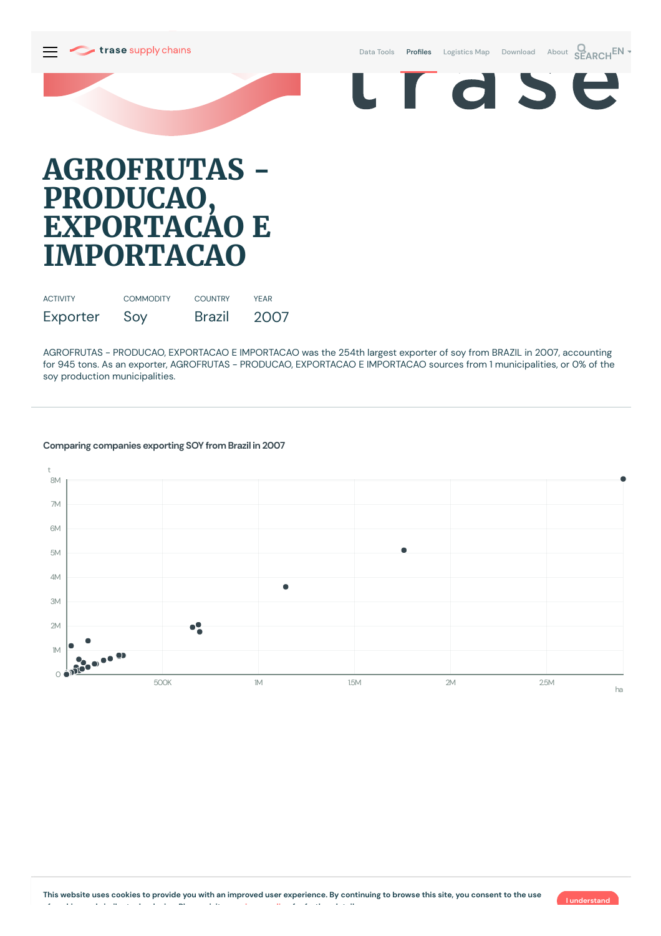

Data [Tools](https://supplychains.trase.earth/explore) **Profiles** [Logistics](https://supplychains.trase.earth/logistics-map) Map [Download](https://supplychains.trase.earth/data) [About](https://supplychains.trase.earth/about) **SEARCH<sup>EN</sup>** 



# **AGROFRUTAS - PRODUCAO, EXPORTACAO E IMPORTACAO**

| <b>ACTIVITY</b> | <b>COMMODITY</b> | <b>COUNTRY</b> | <b>YFAR</b> |
|-----------------|------------------|----------------|-------------|
| Exporter        | Soy              | <b>Brazil</b>  | 2007        |

AGROFRUTAS - PRODUCAO, EXPORTACAO E IMPORTACAO was the 254th largest exporter of soy from BRAZIL in 2007, accounting for 945 tons. As an exporter, AGROFRUTAS - PRODUCAO, EXPORTACAO E IMPORTACAO sources from 1 municipalities, or 0% of the soy production municipalities.

### t 8M 7M 6M 5M 4M  $\bullet$ 3M  $2M$  $\bullet$ 1M  $\circ$ 500K 1M 1M 1.5M 2M 2M 2.5M ha

### **Comparing companies exporting SOY from Brazil in 2007**